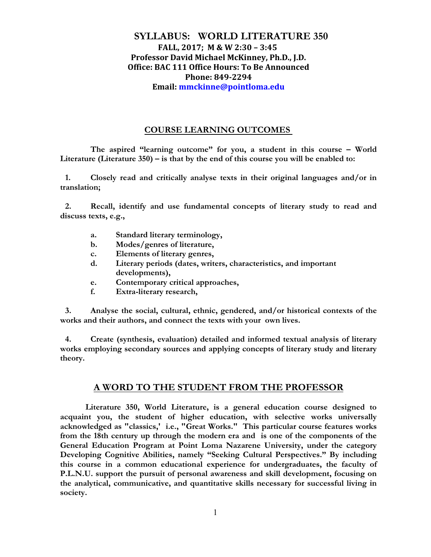# **SYLLABUS: WORLD LITERATURE 350 FALL, 2017; M & W 2:30 – 3:45 Professor David Michael McKinney, Ph.D., J.D. Office: BAC 111 Office Hours: To Be Announced Phone: 849-2294 Email: mmckinne@pointloma.edu**

## **COURSE LEARNING OUTCOMES**

**The aspired "learning outcome" for you, a student in this course – World Literature (Literature 350) – is that by the end of this course you will be enabled to:**

**1. Closely read and critically analyse texts in their original languages and/or in translation;** 

**2. Recall, identify and use fundamental concepts of literary study to read and discuss texts, e.g.,** 

- **a. Standard literary terminology,**
- **b. Modes/genres of literature,**
- **c. Elements of literary genres,**
- **d. Literary periods (dates, writers, characteristics, and important developments),**
- **e. Contemporary critical approaches,**
- **f. Extra-literary research,**

**3. Analyse the social, cultural, ethnic, gendered, and/or historical contexts of the works and their authors, and connect the texts with your own lives.** 

**4. Create (synthesis, evaluation) detailed and informed textual analysis of literary works employing secondary sources and applying concepts of literary study and literary theory.** 

# **A WORD TO THE STUDENT FROM THE PROFESSOR**

**Literature 350, World Literature, is a general education course designed to acquaint you, the student of higher education, with selective works universally acknowledged as "classics,' i.e., "Great Works." This particular course features works from the 18th century up through the modern era and is one of the components of the General Education Program at Point Loma Nazarene University, under the category Developing Cognitive Abilities, namely "Seeking Cultural Perspectives." By including this course in a common educational experience for undergraduates, the faculty of P.L.N.U. support the pursuit of personal awareness and skill development, focusing on the analytical, communicative, and quantitative skills necessary for successful living in society.**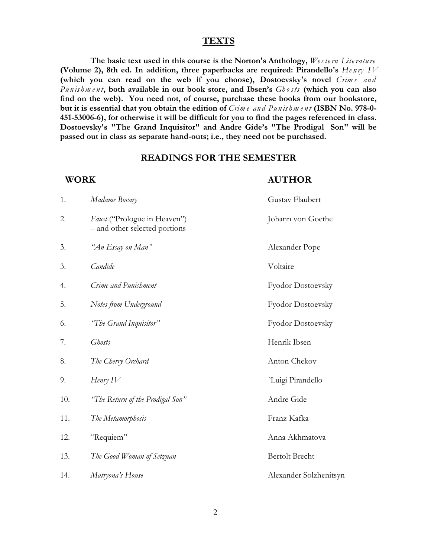#### **TEXTS**

**The basic text used in this course is the Norton's Anthology,** *We ste rn Lite ratu re* **(Volume 2), 8th ed. In addition, three paperbacks are required: Pirandello's** *He n ry IV* (which you can read on the web if you choose), Dostoevsky's novel Crime and *Pu n is hm e n t***, both available in our book store, and Ibsen's** *Gh osts* **(which you can also find on the web). You need not, of course, purchase these books from our bookstore, but it is essential that you obtain the edition of** *Crim e an d Pu n is hm e n t* **(ISBN No. 978-0- 451-53006-6), for otherwise it will be difficult for you to find the pages referenced in class. Dostoevsky's "The Grand Inquisitor" and Andre Gide's "The Prodigal Son" will be passed out in class as separate hand-outs; i.e., they need not be purchased.**

## **READINGS FOR THE SEMESTER**

### **WORK AUTHOR**

| 1.  | Madame Bovary                                                    | Gustav Flaubert        |  |
|-----|------------------------------------------------------------------|------------------------|--|
| 2.  | Faust ("Prologue in Heaven")<br>- and other selected portions -- | Johann von Goethe      |  |
| 3.  | "An Essay on Man"                                                | Alexander Pope         |  |
| 3.  | Candide                                                          | Voltaire               |  |
| 4.  | Crime and Punishment                                             | Fyodor Dostoevsky      |  |
| 5.  | Notes from Underground                                           | Fyodor Dostoevsky      |  |
| 6.  | "The Grand Inquisitor"                                           | Fyodor Dostoevsky      |  |
| 7.  | <b>Ghosts</b>                                                    | Henrik Ibsen           |  |
| 8.  | The Cherry Orchard                                               | Anton Chekov           |  |
| 9.  | Henry $IV$                                                       | Luigi Pirandello       |  |
| 10. | "The Return of the Prodigal Son"                                 | Andre Gide             |  |
| 11. | The Metamorphosis                                                | Franz Kafka            |  |
| 12. | "Requiem"                                                        | Anna Akhmatova         |  |
| 13. | The Good Woman of Setzuan                                        | <b>Bertolt Brecht</b>  |  |
| 14. | Matryona's House                                                 | Alexander Solzhenitsyn |  |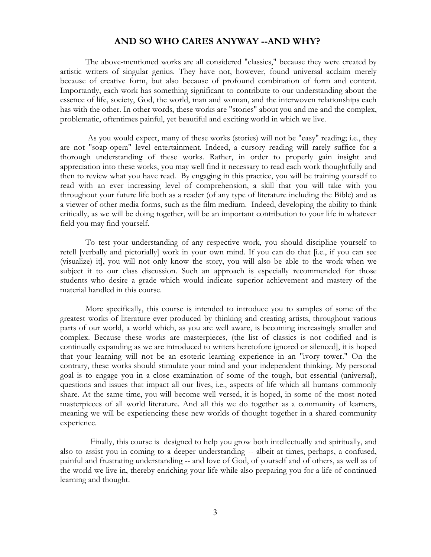#### **AND SO WHO CARES ANYWAY --AND WHY?**

The above-mentioned works are all considered "classics," because they were created by artistic writers of singular genius. They have not, however, found universal acclaim merely because of creative form, but also because of profound combination of form and content. Importantly, each work has something significant to contribute to our understanding about the essence of life, society, God, the world, man and woman, and the interwoven relationships each has with the other. In other words, these works are "stories" about you and me and the complex, problematic, oftentimes painful, yet beautiful and exciting world in which we live.

As you would expect, many of these works (stories) will not be "easy" reading; i.e., they are not "soap-opera" level entertainment. Indeed, a cursory reading will rarely suffice for a thorough understanding of these works. Rather, in order to properly gain insight and appreciation into these works, you may well find it necessary to read each work thoughtfully and then to review what you have read. By engaging in this practice, you will be training yourself to read with an ever increasing level of comprehension, a skill that you will take with you throughout your future life both as a reader (of any type of literature including the Bible) and as a viewer of other media forms, such as the film medium. Indeed, developing the ability to think critically, as we will be doing together, will be an important contribution to your life in whatever field you may find yourself.

To test your understanding of any respective work, you should discipline yourself to retell [verbally and pictorially] work in your own mind. If you can do that [i.e., if you can see (visualize) it], you will not only know the story, you will also be able to the work when we subject it to our class discussion. Such an approach is especially recommended for those students who desire a grade which would indicate superior achievement and mastery of the material handled in this course.

More specifically, this course is intended to introduce you to samples of some of the greatest works of literature ever produced by thinking and creating artists, throughout various parts of our world, a world which, as you are well aware, is becoming increasingly smaller and complex. Because these works are masterpieces, (the list of classics is not codified and is continually expanding as we are introduced to writers heretofore ignored or silenced], it is hoped that your learning will not be an esoteric learning experience in an "ivory tower." On the contrary, these works should stimulate your mind and your independent thinking. My personal goal is to engage you in a close examination of some of the tough, but essential (universal), questions and issues that impact all our lives, i.e., aspects of life which all humans commonly share. At the same time, you will become well versed, it is hoped, in some of the most noted masterpieces of all world literature. And all this we do together as a community of learners, meaning we will be experiencing these new worlds of thought together in a shared community experience.

Finally, this course is designed to help you grow both intellectually and spiritually, and also to assist you in coming to a deeper understanding -- albeit at times, perhaps, a confused, painful and frustrating understanding -- and love of God, of yourself and of others, as well as of the world we live in, thereby enriching your life while also preparing you for a life of continued learning and thought.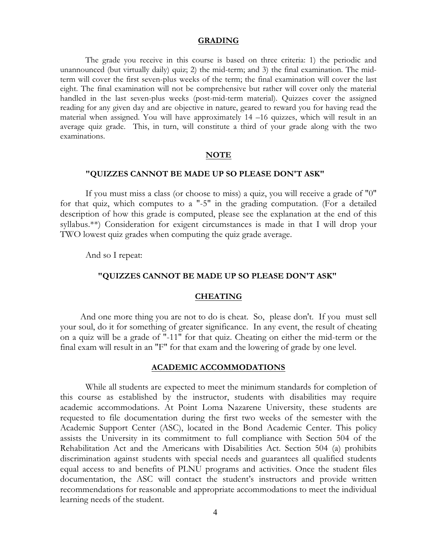#### **GRADING**

The grade you receive in this course is based on three criteria: 1) the periodic and unannounced (but virtually daily) quiz; 2) the mid-term; and 3) the final examination. The midterm will cover the first seven-plus weeks of the term; the final examination will cover the last eight. The final examination will not be comprehensive but rather will cover only the material handled in the last seven-plus weeks (post-mid-term material). Quizzes cover the assigned reading for any given day and are objective in nature, geared to reward you for having read the material when assigned. You will have approximately 14 –16 quizzes, which will result in an average quiz grade. This, in turn, will constitute a third of your grade along with the two examinations.

#### **NOTE**

#### **"QUIZZES CANNOT BE MADE UP SO PLEASE DON'T ASK"**

If you must miss a class (or choose to miss) a quiz, you will receive a grade of "0" for that quiz, which computes to a "-5" in the grading computation. (For a detailed description of how this grade is computed, please see the explanation at the end of this syllabus.\*\*) Consideration for exigent circumstances is made in that I will drop your TWO lowest quiz grades when computing the quiz grade average.

And so I repeat:

## **"QUIZZES CANNOT BE MADE UP SO PLEASE DON'T ASK"**

#### **CHEATING**

And one more thing you are not to do is cheat. So, please don't. If you must sell your soul, do it for something of greater significance. In any event, the result of cheating on a quiz will be a grade of "-11" for that quiz. Cheating on either the mid-term or the final exam will result in an "F" for that exam and the lowering of grade by one level.

#### **ACADEMIC ACCOMMODATIONS**

While all students are expected to meet the minimum standards for completion of this course as established by the instructor, students with disabilities may require academic accommodations. At Point Loma Nazarene University, these students are requested to file documentation during the first two weeks of the semester with the Academic Support Center (ASC), located in the Bond Academic Center. This policy assists the University in its commitment to full compliance with Section 504 of the Rehabilitation Act and the Americans with Disabilities Act. Section 504 (a) prohibits discrimination against students with special needs and guarantees all qualified students equal access to and benefits of PLNU programs and activities. Once the student files documentation, the ASC will contact the student's instructors and provide written recommendations for reasonable and appropriate accommodations to meet the individual learning needs of the student.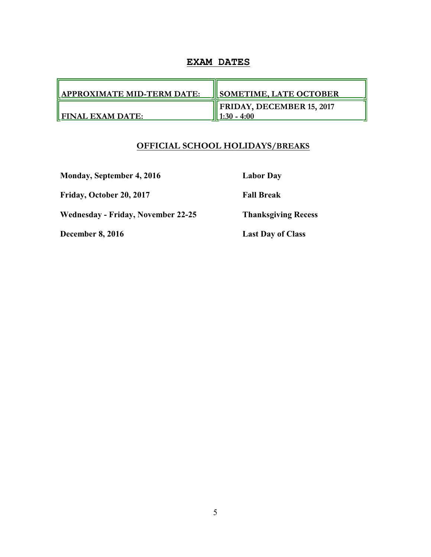# **EXAM DATES**

| <b>APPROXIMATE MID-TERM DATE:</b> | <b>SOMETIME, LATE OCTOBER</b>                          |
|-----------------------------------|--------------------------------------------------------|
| <b>FINAL EXAM DATE:</b>           | $\parallel$ FRIDAY, DECEMBER 15, 2017<br>$1:30 - 4:00$ |

# **OFFICIAL SCHOOL HOLIDAYS/BREAKS**

**Monday, September 4, 2016 Labor Day**

**Friday, October 20, 2017 Fall Break**

**Wednesday - Friday, November 22-25 Thanksgiving Recess**

**December 8, 2016** Last Day of Class